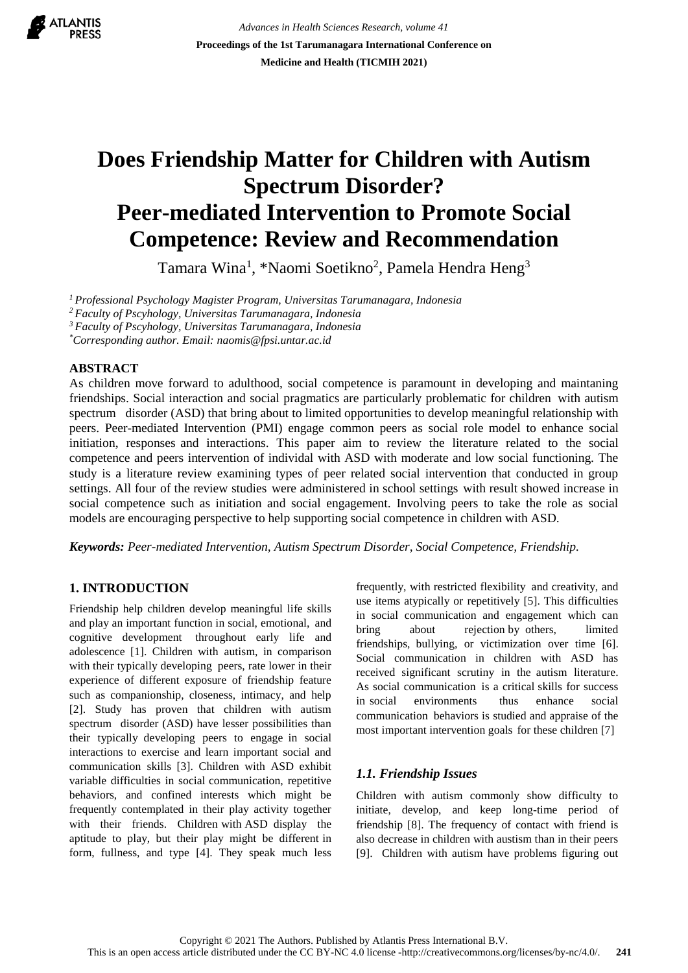

*Advances in Health Sciences Research, volume 41* **Proceedings of the 1st Tarumanagara International Conference on Medicine and Health (TICMIH 2021)**

# **Does Friendship Matter for Children with Autism Spectrum.Disorder? Peer-mediated Intervention to Promote Social Competence: Review and Recommendation**

Tamara Wina<sup>1</sup>, \*Naomi Soetikno<sup>2</sup>, Pamela Hendra Heng<sup>3</sup>

*<sup>1</sup>Professional Psychology Magister Program, Universitas Tarumanagara, Indonesiaa*

*<sup>2</sup>Faculty of Pscyhology, Universitas Tarumanagara, Indonesiaa*

*<sup>3</sup>Faculty of Pscyhology, Universitas Tarumanagara, Indonesiaa*

*\*Corresponding author. Email: naomis@fpsi.untar.ac.id*

## **ABSTRACT**

As children move forward to adulthood, social competence is paramount in developing and maintaning friendships. Social interaction and social pragmatics are particularly problematic for children with autism spectrum disorder (ASD) that bring about to limited opportunities to develop meaningful relationship with peers. Peer-mediated Intervention (PMI) engage common peers as social role model to enhance social initiation, responses and interactions. This paper aim to review the literature related to the social competence and peers intervention of individal with ASD with moderate and low social functioning. The study is a literature review examining types of peer related social intervention that conducted in group settings. All four of the review studies were administered in school settings with result showed increase in social competence such as initiation and social engagement. Involving peers to take the role as social models are encouraging perspective to help supporting social competence in children with ASD.

*Keywords: Peer-mediated Intervention, Autism Spectrum Disorder, Social Competence, Friendship.*

# **1. INTRODUCTION**

Friendship help children develop meaningful life skills and play an important function in social, emotional, and cognitive development throughout early life and adolescence [1]. Children with autism, in comparison with their typically developing peers, rate lower in their experience of different exposure of friendship feature such as companionship, closeness, intimacy, and help [2]. Study has proven that children with autism spectrum disorder (ASD) have lesser possibilities than their typically developing peers to engage in social interactions to exercise and learn important social and communication skills [3]. Children with ASD exhibit variable difficulties in social communication, repetitive behaviors, and confined interests which might be frequently contemplated in their play activity together with their friends. Children with ASD display the aptitude to play, but their play might be different in form, fullness, and type [4]. They speak much less frequently, with restricted flexibility and creativity, and use items atypically or repetitively  $[5]$ . This difficulties in social communication and engagement which can bring about rejection by others, limited friendships, bullying, or victimization over time [6]. Social communication in children with ASD has received significant scrutiny in the autism literature. As social communication is a critical skills for success in social environments thus enhance social communication behaviors is studied and appraise of the most important intervention goals for these children [7]

# *1.1. Friendship Issues*

Children with autism commonly show difficulty to initiate, develop, and keep long-time period of friendship [8]. The frequency of contact with friend is also decrease in children with austism than in their peers [9]. Children with autism have problems figuring out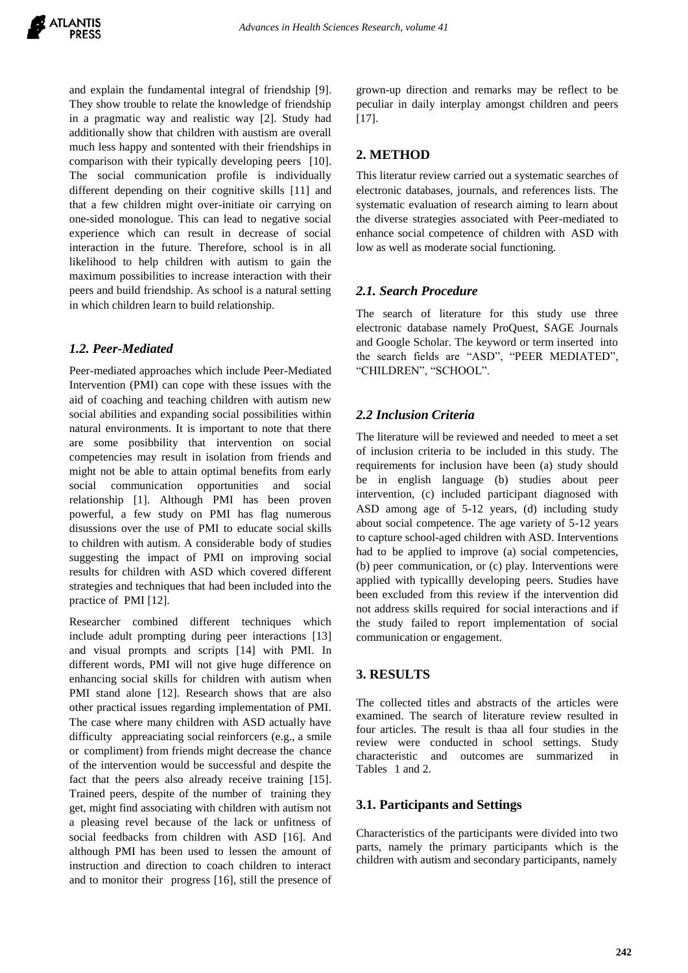and explain the fundamental integral of friendship [9]. They show trouble to relate the knowledge of friendship in a pragmatic way and realistic way [2]. Study had additionally show that children with austism are overall much less happy and sontented with their friendships in comparison with their typically developing peers [10]. The social communication profile is individually different depending on their cognitive skills [11] and that a few children might over-initiate oir carrying on one-sided monologue. This can lead to negative social experience which can result in decrease of social interaction in the future. Therefore, school is in all likelihood to help children with autism to gain the maximum possibilities to increase interaction with their peers and build friendship. As school is a natural setting in which children learn to build relationship.

## *1.2. Peer-Mediated*

Peer-mediated approaches which include Peer-Mediated Intervention (PMI) can cope with these issues with the aid of coaching and teaching children with autism new social abilities and expanding social possibilities within natural environments. It is important to note that there are some posibbility that intervention on social competencies may result in isolation from friends and might not be able to attain optimal benefits from early social communication opportunities and social relationship [1]. Although PMI has been proven powerful, a few study on PMI has flag numerous disussions over the use of PMI to educate social skills to children with autism. A considerable body of studies suggesting the impact of PMI on improving social results for children with ASD which covered different strategies and techniques that had been included into the practice of PMI [12].

Researcher combined different techniques which include adult prompting during peer interactions [13] and visual prompts and scripts [14] with PMI. In different words, PMI will not give huge difference on enhancing social skills for children with autism when PMI stand alone [12]. Research shows that are also other practical issues regarding implementation of PMI. The case where many children with ASD actually have difficulty appreaciating social reinforcers (e.g., a smile or compliment) from friends might decrease the chance of the intervention would be successful and despite the fact that the peers also already receive training [15]. Trained peers, despite of the number of training they get, might find associating with children with autism not a pleasing revel because of the lack or unfitness of social feedbacks from children with ASD [16]. And although PMI has been used to lessen the amount of instruction and direction to coach children to interact and to monitor their progress  $[16]$ , still the presence of grown-up direction and remarks may be reflect to be peculiar in daily interplay amongst children and peers [17].

# **2. METHOD**

This literatur review carried out a systematic searches of electronic databases, journals, and references lists. The systematic evaluation of research aiming to learn about the diverse strategies associated with Peer-mediated to enhance social competence of children with ASD with low as well as moderate social functioning.

# *2.1. Search Procedure*

The search of literature for this study use three electronic database namely ProQuest, SAGE Journals and Google Scholar. The keyword or term inserted into the search fields are "ASD", "PEER MEDIATED", "CHILDREN", "SCHOOL".

# *2.2 Inclusion Criteria*

The literature will be reviewed and needed to meet a set of inclusion criteria to be included in this study. The requirements for inclusion have been (a) study should be in english language (b) studies about peer intervention, (c) included participant diagnosed with ASD among age of 5-12 years, (d) including study about social competence. The age variety of 5-12 years to capture school-aged children with ASD. Interventions had to be applied to improve (a) social competencies, (b) peer communication, or  $(c)$  play. Interventions were applied with typicallly developing peers. Studies have been excluded from this review if the intervention did not address skills required for social interactions and if the study failed to report implementation of social communication or engagement.

## **3. RESULTS**

The collected titles and abstracts of the articles were examined. The search of literature review resulted in four articles. The result is thaa all four studies in the review were conducted in school settings. Study characteristic and outcomes are summarized in Tables 1 and 2.

## **3.1. Participants and Settings**

Characteristics of the participants were divided into two parts, namely the primary participants which is the children with autism and secondary participants, namely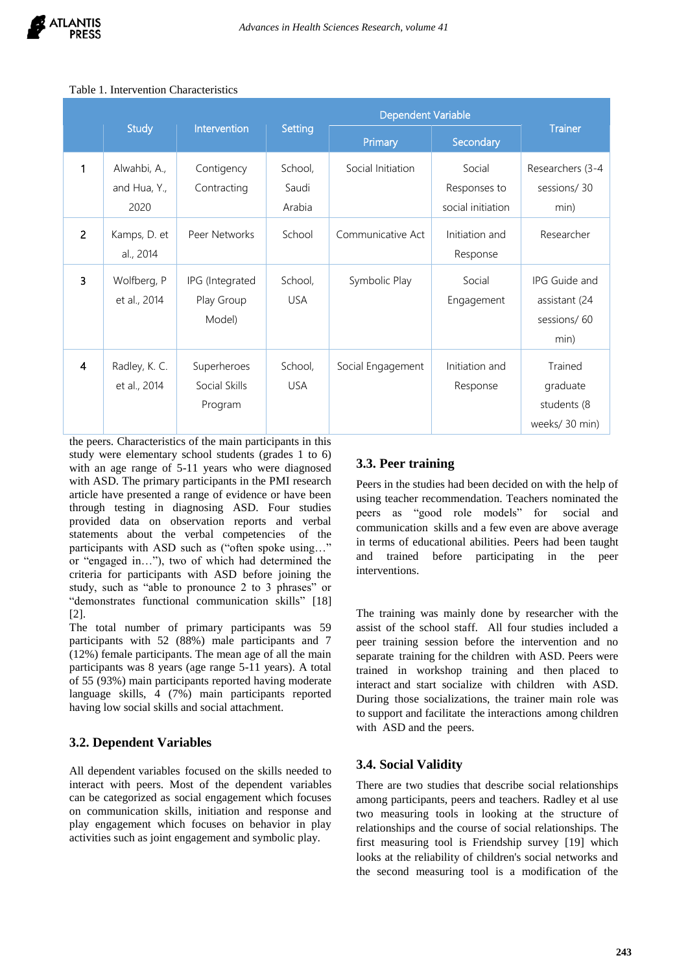|   | <b>Study</b>                         | Intervention                            | Setting                    | Primary           | Secondary                                   | <b>Trainer</b>                                        |  |
|---|--------------------------------------|-----------------------------------------|----------------------------|-------------------|---------------------------------------------|-------------------------------------------------------|--|
| 1 | Alwahbi, A.,<br>and Hua, Y.,<br>2020 | Contigency<br>Contracting               | School,<br>Saudi<br>Arabia | Social Initiation | Social<br>Responses to<br>social initiation | Researchers (3-4<br>sessions/30<br>min)               |  |
| 2 | Kamps, D. et<br>al., 2014            | Peer Networks                           | School                     | Communicative Act | Initiation and<br>Response                  | Researcher                                            |  |
| 3 | Wolfberg, P<br>et al., 2014          | IPG (Integrated<br>Play Group<br>Model) | School,<br><b>USA</b>      | Symbolic Play     | Social<br>Engagement                        | IPG Guide and<br>assistant (24<br>sessions/60<br>min) |  |
| 4 | Radley, K. C.<br>et al., 2014        | Superheroes<br>Social Skills<br>Program | School,<br><b>USA</b>      | Social Engagement | Initiation and<br>Response                  | Trained<br>graduate<br>students (8<br>weeks/30 min)   |  |

#### Table 1. Intervention Characteristics

the peers. Characteristics of the main participants in this study were elementary school students (grades 1 to 6) with an age range of 5-11 years who were diagnosed with ASD. The primary participants in the PMI research article have presented a range of evidence or have been through testing in diagnosing ASD. Four studies provided data on observation reports and verbal statements about the verbal competencies of the participants with ASD such as ("often spoke using…" or "engaged in…"), two of which had determined the criteria for participants with ASD before joining the study, such as "able to pronounce 2 to 3 phrases" or "demonstrates functional communication skills" [18] [2].

The total number of primary participants was 59 participants with 52 (88%) male participants and 7 (12%) female participants. The mean age of all the main participants was 8 years (age range 5-11 years). A total of 55 (93%) main participants reported having moderate language skills, 4 (7%) main participants reported having low social skills and social attachment.

## **3.2. Dependent Variables**

All dependent variables focused on the skills needed to interact with peers. Most of the dependent variables can be categorized as social engagement which focuses on communication skills, initiation and response and play engagement which focuses on behavior in play activities such as joint engagement and symbolic play.

# **3.3. Peer training**

Peers in the studies had been decided on with the help of using teacher recommendation. Teachers nominated the peers as "good role models" for social and communication skills and a few even are above average in terms of educational abilities. Peers had been taught and trained before participating in the peer interventions.

The training was mainly done by researcher with the assist of the school staff. All four studies included a peer training session before the intervention and no separate training for the children with ASD. Peers were trained in workshop training and then placed to interact and start socialize with children with ASD. During those socializations, the trainer main role was to support and facilitate the interactions among children with ASD and the peers.

## **3.4. Social Validity**

There are two studies that describe social relationships among participants, peers and teachers. Radley et al use two measuring tools in looking at the structure of relationships and the course of social relationships. The first measuring tool is Friendship survey [19] which looks at the reliability of children's social networks and the second measuring tool is a modification of the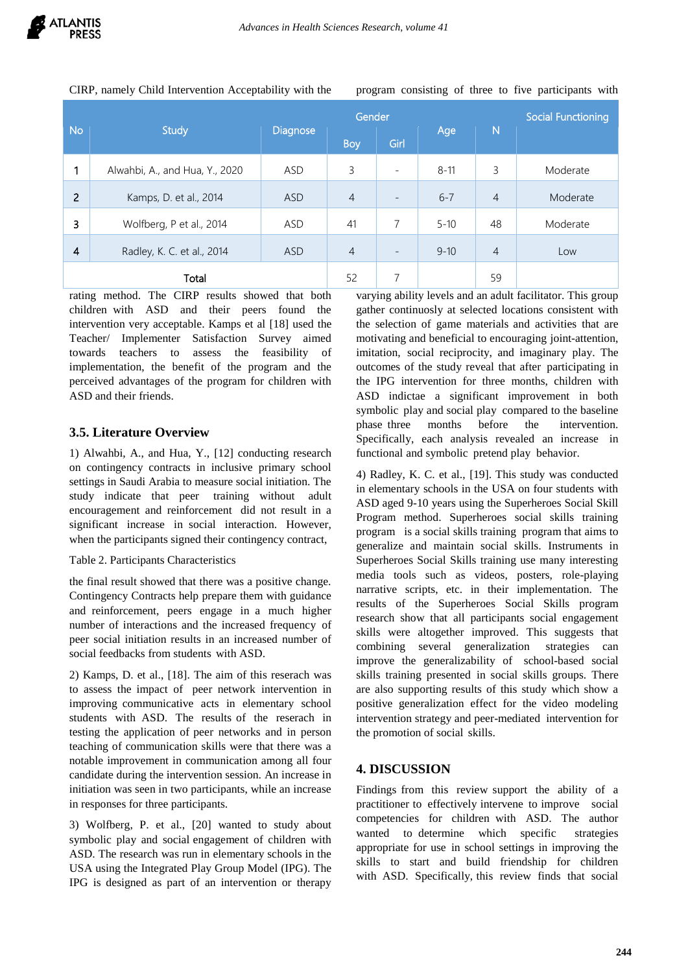|  |  | CIRP, namely Child Intervention Acceptability with the |  |
|--|--|--------------------------------------------------------|--|
|  |  |                                                        |  |

program consisting of three to five participants with

|                |                                | Gender          |                |                          |          |                | <b>Social Functioning</b> |
|----------------|--------------------------------|-----------------|----------------|--------------------------|----------|----------------|---------------------------|
| <b>No</b>      | <b>Study</b>                   | <b>Diagnose</b> | <b>Boy</b>     | Girl                     | Age      | $\mathsf{N}$   |                           |
|                | Alwahbi, A., and Hua, Y., 2020 | ASD             | 3              | $\overline{\phantom{a}}$ | $8 - 11$ | 3              | Moderate                  |
| $\overline{2}$ | Kamps, D. et al., 2014         | <b>ASD</b>      | $\overline{4}$ | Ξ.                       | $6 - 7$  | $\overline{4}$ | Moderate                  |
| 3              | Wolfberg, P et al., 2014       | ASD             | 41             | $\overline{7}$           | $5 - 10$ | 48             | Moderate                  |
| $\overline{4}$ | Radley, K. C. et al., 2014     | <b>ASD</b>      | $\overline{4}$ | Ξ.                       | $9 - 10$ | $\overline{4}$ | Low                       |
|                | Total                          | 52              | 7              |                          | 59       |                |                           |

rating method. The CIRP results showed that both children with ASD and their peers found the intervention very acceptable. Kamps et al [18] used the Teacher/ Implementer Satisfaction Survey aimed towards teachers to assess the feasibility of implementation, the benefit of the program and the perceived advantages of the program for children with ASD and their friends.

## **3.5. Literature Overview**

1) Alwahbi, A., and Hua, Y., [12] conducting research on contingency contracts in inclusive primary school settings in Saudi Arabia to measure social initiation. The study indicate that peer training without adult encouragement and reinforcement did not result in a significant increase in social interaction. However, when the participants signed their contingency contract,

#### Table 2. Participants Characteristics

the final result showed that there was a positive change. Contingency Contracts help prepare them with guidance and reinforcement, peers engage in a much higher number of interactions and the increased frequency of peer social initiation results in an increased number of social feedbacks from students with ASD.

2) Kamps, D. et al., [18]. The aim of this reserach was to assess the impact of peer network intervention in improving communicative acts in elementary school students with ASD. The results of the reserach in testing the application of peer networks and in person teaching of communication skills were that there was a notable improvement in communication among all four candidate during the intervention session. An increase in initiation was seen in two participants, while an increase in responses for three participants.

3) Wolfberg, P. et al., [20] wanted to study about symbolic play and social engagement of children with ASD. The research was run in elementary schools in the USA using the Integrated Play Group Model (IPG). The IPG is designed as part of an intervention or therapy varying ability levels and an adult facilitator. This group gather continuosly at selected locations consistent with the selection of game materials and activities that are motivating and beneficial to encouraging joint-attention, imitation, social reciprocity, and imaginary play. The outcomes of the study reveal that after participating in the IPG intervention for three months, children with ASD indictae a significant improvement in both symbolic play and social play compared to the baseline phase three months before the intervention. Specifically, each analysis revealed an increase in functional and symbolic pretend play behavior.

4) Radley, K. C. et al., [19]. This study was conducted in elementary schools in the USA on four students with ASD aged 9-10 years using the Superheroes Social Skill Program method. Superheroes social skills training program is a social skills training program that aims to generalize and maintain social skills. Instruments in Superheroes Social Skills training use many interesting media tools such as videos, posters, role-playing narrative scripts, etc. in their implementation. The results of the Superheroes Social Skills program research show that all participants social engagement skills were altogether improved. This suggests that combining several generalization. strategies can improve the generalizability of school-based social skills training presented in social skills groups. There are also supporting results of this study which show a positive generalization effect for the video modeling intervention strategy and peer-mediated intervention for the promotion of social skills.

# **4. DISCUSSION**

Findings from this review support the ability of a practitioner to effectively intervene to improve social competencies for children with ASD. The author wanted to determine which specific strategies appropriate for use in school settings in improving the skills to start and build friendship for children with ASD. Specifically, this review finds that social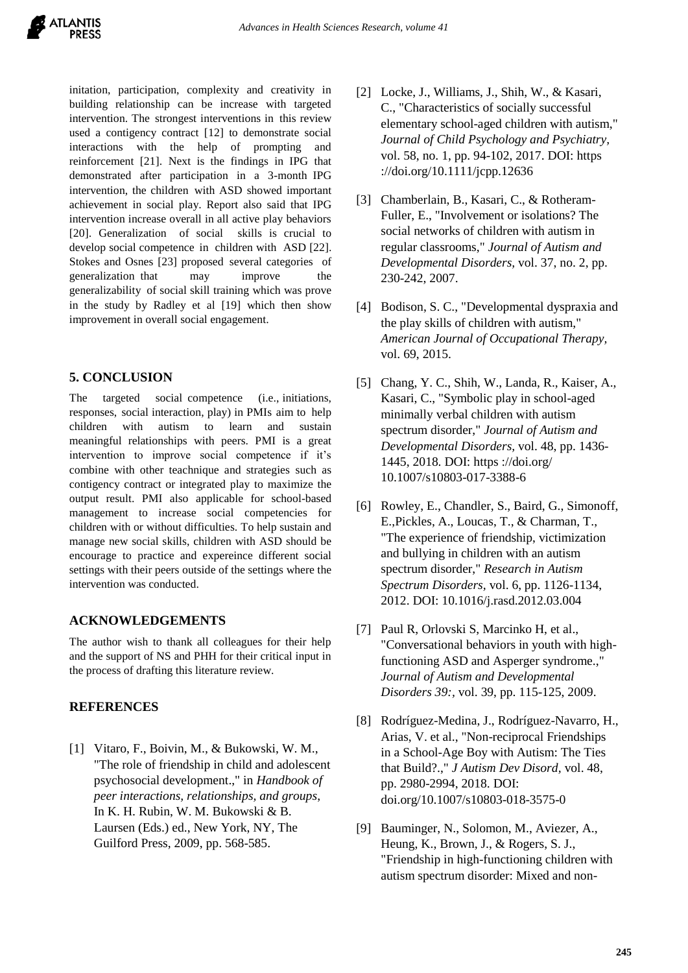initation, participation, complexity and creativity in building relationship can be increase with targeted intervention. The strongest interventions in this review used a contigency contract [12] to demonstrate social interactions with the help of prompting and reinforcement [21]. Next is the findings in IPG that demonstrated after participation in a 3-month IPG intervention, the children with ASD showed important achievement in social play. Report also said that IPG intervention increase overall in all active play behaviors [20]. Generalization of social skills is crucial to develop social competence in children with ASD [22]. Stokes and Osnes [23] proposed several categories of generalization that may improve the generalizability of social skill training which was prove in the study by Radley et al [19] which then show improvement in overall social engagement.

## **5. CONCLUSION**

The targeted social competence (i.e., initiations, responses, social interaction, play) in PMIs aim to help children with autism to learn and sustain meaningful relationships with peers. PMI is a great intervention to improve social competence if it's combine with other teachnique and strategies such as contigency contract or integrated play to maximize the output result. PMI also applicable for school-based management to increase social competencies for children with or without difficulties. To help sustain and manage new social skills, children with ASD should be encourage to practice and expereince different social settings with their peers outside of the settings where the intervention was conducted.

# **ACKNOWLEDGEMENTS**

The author wish to thank all colleagues for their help and the support of NS and PHH for their critical input in the process of drafting this literature review.

## **REFERENCES**

[1] Vitaro, F., Boivin, M., & Bukowski, W. M., "The role of friendship in child and adolescent psychosocial development.," in *Handbook of peer interactions, relationships, and groups*, In K. H. Rubin, W. M. Bukowski & B. Laursen (Eds.) ed., New York, NY, The Guilford Press, 2009, pp. 568-585.

- [2] Locke, J., Williams, J., Shih, W., & Kasari, C., "Characteristics of socially successful elementary school-aged children with autism," *Journal of Child Psychology and Psychiatry,*  vol. 58, no. 1, pp. 94-102, 2017. DOI: https ://doi.org/10.1111/jcpp.12636
- [3] Chamberlain, B., Kasari, C., & Rotheram-Fuller, E., "Involvement or isolations? The social networks of children with autism in regular classrooms," *Journal of Autism and Developmental Disorders,* vol. 37, no. 2, pp. 230-242, 2007.
- [4] Bodison, S. C., "Developmental dyspraxia and the play skills of children with autism," *American Journal of Occupational Therapy,*  vol. 69, 2015.
- [5] Chang, Y. C., Shih, W., Landa, R., Kaiser, A., Kasari, C., "Symbolic play in school-aged minimally verbal children with autism spectrum disorder," *Journal of Autism and Developmental Disorders,* vol. 48, pp. 1436- 1445, 2018. DOI: https ://doi.org/ 10.1007/s10803-017-3388-6
- [6] Rowley, E., Chandler, S., Baird, G., Simonoff, E.,Pickles, A., Loucas, T., & Charman, T., "The experience of friendship, victimization and bullying in children with an autism spectrum disorder," *Research in Autism Spectrum Disorders,* vol. 6, pp. 1126-1134, 2012. DOI: 10.1016/j.rasd.2012.03.004
- [7] Paul R, Orlovski S, Marcinko H, et al., "Conversational behaviors in youth with highfunctioning ASD and Asperger syndrome.," *Journal of Autism and Developmental Disorders 39:,* vol. 39, pp. 115-125, 2009.
- [8] Rodríguez-Medina, J., Rodríguez-Navarro, H., Arias, V. et al., "Non-reciprocal Friendships in a School-Age Boy with Autism: The Ties that Build?.," *J Autism Dev Disord,* vol. 48, pp. 2980-2994, 2018. DOI: doi.org/10.1007/s10803-018-3575-0
- [9] Bauminger, N., Solomon, M., Aviezer, A., Heung, K., Brown, J., & Rogers, S. J., "Friendship in high-functioning children with autism spectrum disorder: Mixed and non-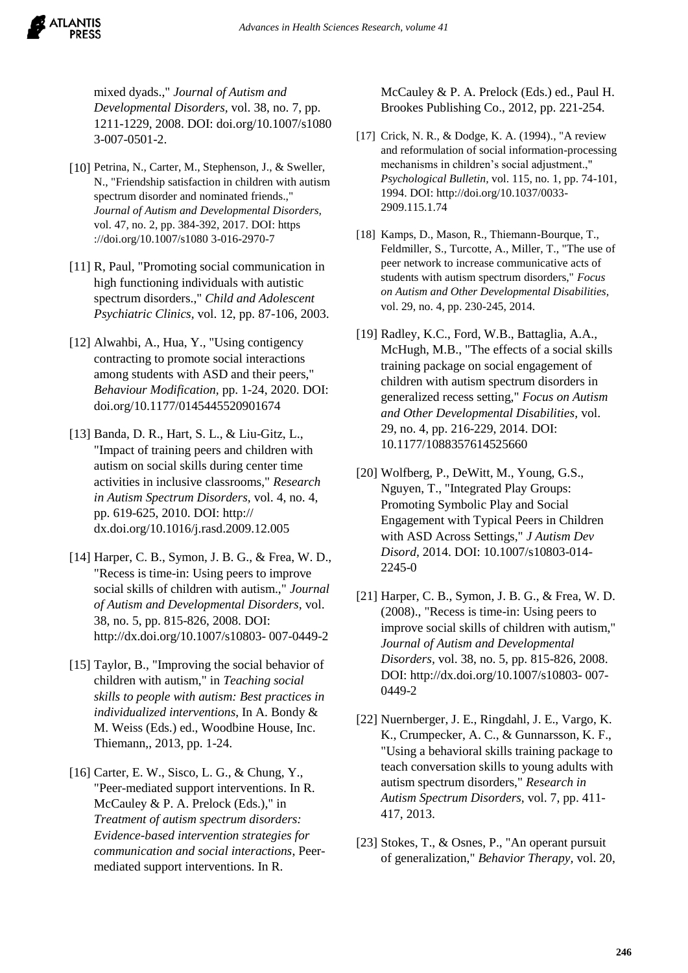mixed dyads.," *Journal of Autism and Developmental Disorders,* vol. 38, no. 7, pp. 1211-1229, 2008. DOI: doi.org/10.1007/s1080 3-007-0501-2.

ATLANTIS

- [10] Petrina, N., Carter, M., Stephenson, J., & Sweller, N., "Friendship satisfaction in children with autism spectrum disorder and nominated friends.," *Journal of Autism and Developmental Disorders,*  vol. 47, no. 2, pp. 384-392, 2017. DOI: https ://doi.org/10.1007/s1080 3-016-2970-7
- [11] R, Paul, "Promoting social communication in high functioning individuals with autistic spectrum disorders.," *Child and Adolescent Psychiatric Clinics,* vol. 12, pp. 87-106, 2003.
- [12] Alwahbi, A., Hua, Y., "Using contigency contracting to promote social interactions among students with ASD and their peers," *Behaviour Modification,* pp. 1-24, 2020. DOI: doi.org/10.1177/0145445520901674
- [13] Banda, D. R., Hart, S. L., & Liu-Gitz, L., "Impact of training peers and children with autism on social skills during center time activities in inclusive classrooms," *Research in Autism Spectrum Disorders,* vol. 4, no. 4, pp. 619-625, 2010. DOI: http:// dx.doi.org/10.1016/j.rasd.2009.12.005
- [14] Harper, C. B., Symon, J. B. G., & Frea, W. D., "Recess is time-in: Using peers to improve social skills of children with autism.," *Journal of Autism and Developmental Disorders,* vol. 38, no. 5, pp. 815-826, 2008. DOI: http://dx.doi.org/10.1007/s10803- 007-0449-2
- [15] Taylor, B., "Improving the social behavior of children with autism," in *Teaching social skills to people with autism: Best practices in individualized interventions*, In A. Bondy & M. Weiss (Eds.) ed., Woodbine House, Inc. Thiemann,, 2013, pp. 1-24.
- [16] Carter, E. W., Sisco, L. G., & Chung, Y., "Peer-mediated support interventions. In R. McCauley & P. A. Prelock (Eds.)," in *Treatment of autism spectrum disorders: Evidence-based intervention strategies for communication and social interactions*, Peermediated support interventions. In R.

McCauley & P. A. Prelock (Eds.) ed., Paul H. Brookes Publishing Co., 2012, pp. 221-254.

- [17] Crick, N. R., & Dodge, K. A. (1994)., "A review and reformulation of social information-processing mechanisms in children's social adjustment.," *Psychological Bulletin,* vol. 115, no. 1, pp. 74-101, 1994. DOI: http://doi.org/10.1037/0033- 2909.115.1.74
- [18] Kamps, D., Mason, R., Thiemann-Bourque, T., Feldmiller, S., Turcotte, A., Miller, T., "The use of peer network to increase communicative acts of students with autism spectrum disorders," *Focus on Autism and Other Developmental Disabilities,*  vol. 29, no. 4, pp. 230-245, 2014.
- [19] Radley, K.C., Ford, W.B., Battaglia, A.A., McHugh, M.B., "The effects of a social skills training package on social engagement of children with autism spectrum disorders in generalized recess setting," *Focus on Autism and Other Developmental Disabilities,* vol. 29, no. 4, pp. 216-229, 2014. DOI: 10.1177/1088357614525660
- [20] Wolfberg, P., DeWitt, M., Young, G.S., Nguyen, T., "Integrated Play Groups: Promoting Symbolic Play and Social Engagement with Typical Peers in Children with ASD Across Settings," *J Autism Dev Disord,* 2014. DOI: 10.1007/s10803-014- 2245-0
- [21] Harper, C. B., Symon, J. B. G., & Frea, W. D. (2008)., "Recess is time-in: Using peers to improve social skills of children with autism," *Journal of Autism and Developmental Disorders,* vol. 38, no. 5, pp. 815-826, 2008. DOI: http://dx.doi.org/10.1007/s10803- 007- 0449-2
- [22] Nuernberger, J. E., Ringdahl, J. E., Vargo, K. K., Crumpecker, A. C., & Gunnarsson, K. F., "Using a behavioral skills training package to teach conversation skills to young adults with autism spectrum disorders," *Research in Autism Spectrum Disorders,* vol. 7, pp. 411- 417, 2013.
- [23] Stokes, T., & Osnes, P., "An operant pursuit of generalization," *Behavior Therapy,* vol. 20,